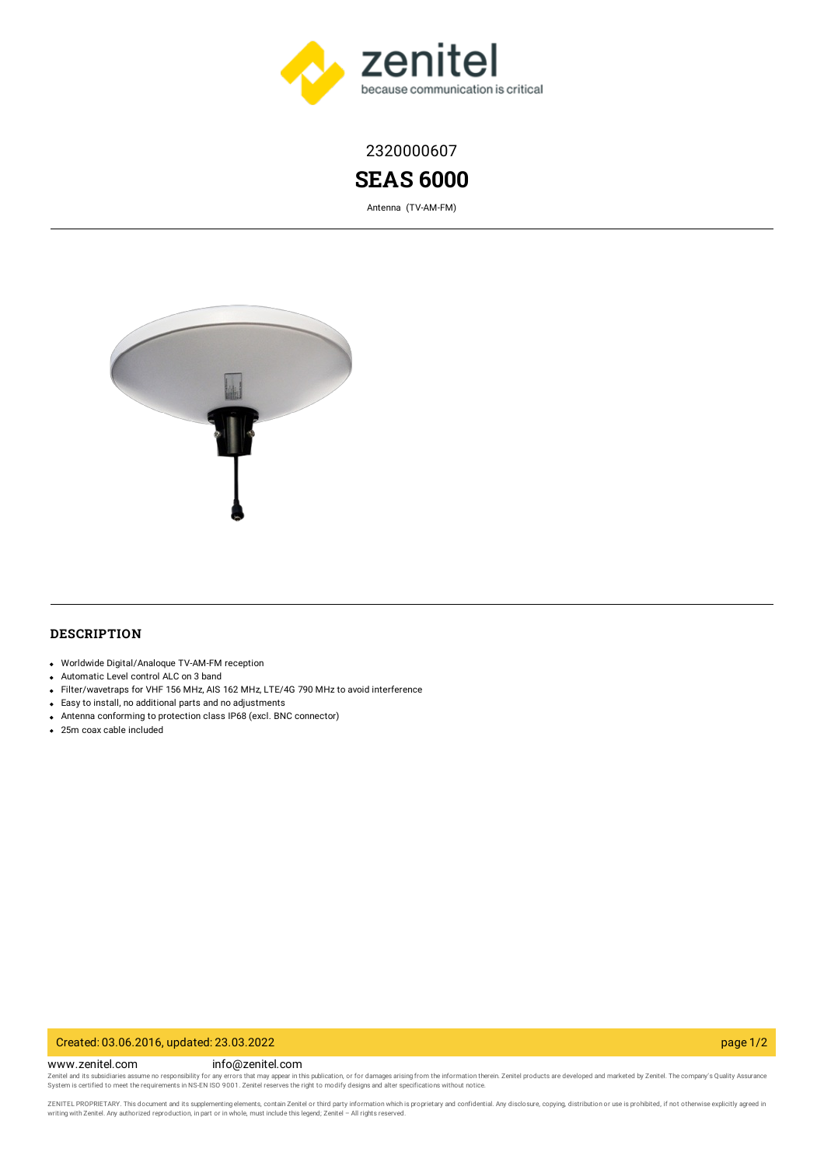

2320000607

# **SEAS 6000**

Antenna (TV-AM-FM)



# **DESCRIPTION**

- Worldwide Digital/Analoque TV-AM-FM reception
- Automatic Level control ALC on 3 band
- Filter/wavetraps for VHF 156 MHz, AIS 162 MHz, LTE/4G 790 MHz to avoid interference
- Easy to install, no additional parts and no adjustments
- Antenna conforming to protection class IP68 (excl. BNC connector)
- 25m coax cable included

#### Created: 03.06.2016, updated: 23.03.2022 page 1/2

www.zenitel.com info@zenitel.com Zenitel and its subsidiaries assume no responsibility for any errors that may appear in this publication, or for damages arising from the information therein. Zenitel products are developed and marketed by Zenitel. The com

ZENITEL PROPRIETARY. This document and its supplementing elements, contain Zenitel or third party information which is proprietary and confidential. Any disclosure, copying, distribution or use is prohibited, if not otherw